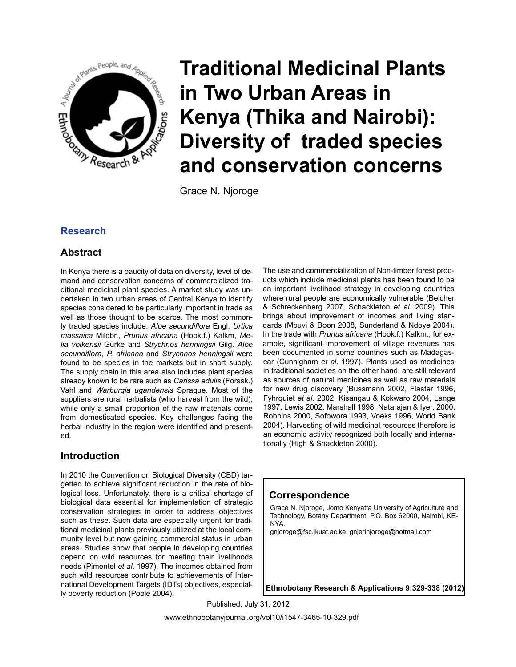

Grace N. Njoroge

# **Research**

# **Abstract**

In Kenya there is a paucity of data on diversity, level of demand and conservation concerns of commercialized traditional medicinal plant species. A market study was undertaken in two urban areas of Central Kenya to identify species considered to be particularly important in trade as well as those thought to be scarce. The most commonly traded species include: *Aloe secundiflora* Engl, *Urtica massaica* Mildbr., *Prunus africana* (Hook.f.) Kalkm, *Melia volkensii* Gürke and *Strychnos henningsii* Gilg. *Aloe secundiflora*, *P. africana* and *Strychnos henningsii* were found to be species in the markets but in short supply. The supply chain in this area also includes plant species already known to be rare such as *Carissa edulis* (Forssk.) Vahl and *Warburgia ugandensis* Sprague. Most of the suppliers are rural herbalists (who harvest from the wild), while only a small proportion of the raw materials come from domesticated species. Key challenges facing the herbal industry in the region were identified and presented.

## **Introduction**

In 2010 the Convention on Biological Diversity (CBD) targetted to achieve significant reduction in the rate of biological loss. Unfortunately, there is a critical shortage of biological data essential for implementation of strategic conservation strategies in order to address objectives such as these. Such data are especially urgent for traditional medicinal plants previously utilized at the local community level but now gaining commercial status in urban areas. Studies show that people in developing countries depend on wild resources for meeting their livelihoods needs (Pimentel *et al*. 1997). The incomes obtained from such wild resources contribute to achievements of International Development Targets (IDTs) objectives, especially poverty reduction (Poole 2004).

The use and commercialization of Non-timber forest products which include medicinal plants has been found to be an important livelihood strategy in developing countries where rural people are economically vulnerable (Belcher & Schreckenberg 2007, Schackleton *et al*. 2009). This brings about improvement of incomes and living standards (Mbuvi & Boon 2008, Sunderland & Ndoye 2004). In the trade with *Prunus africana* (Hook.f.) Kalkm., for example, significant improvement of village revenues has been documented in some countries such as Madagascar (Cunnigham *et al*. 1997). Plants used as medicines in traditional societies on the other hand, are still relevant as sources of natural medicines as well as raw materials for new drug discovery (Bussmann 2002, Flaster 1996, Fyhrquiet *et al*. 2002, Kisangau & Kokwaro 2004, Lange 1997, Lewis 2002, Marshall 1998, Natarajan & Iyer, 2000, Robbins 2000, Sofowora 1993, Voeks 1996, World Bank 2004). Harvesting of wild medicinal resources therefore is an economic activity recognized both locally and internationally (High & Shackleton 2000).

## **Correspondence**

Grace N. Njoroge, Jomo Kenyatta University of Agriculture and Technology, Botany Department, P.O. Box 62000, Nairobi, KE-NYA.

gnjoroge@fsc.jkuat.ac.ke, gnjerinjoroge@hotmail.com

**Ethnobotany Research & Applications 9:329-338 (2012)**

Published: July 31, 2012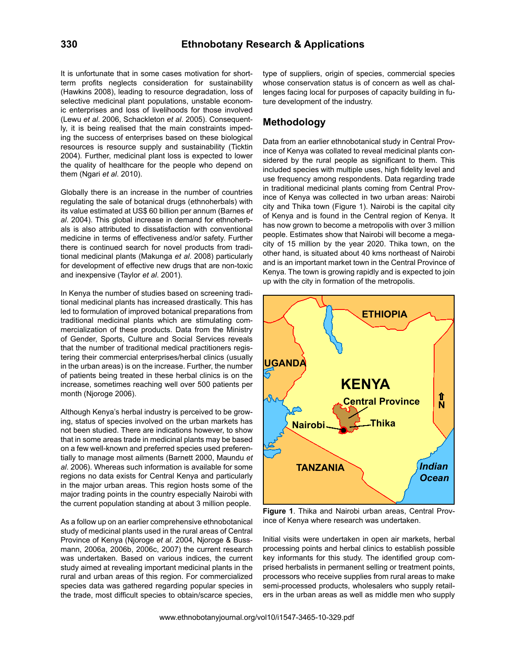It is unfortunate that in some cases motivation for shortterm profits neglects consideration for sustainability (Hawkins 2008), leading to resource degradation, loss of selective medicinal plant populations, unstable economic enterprises and loss of livelihoods for those involved (Lewu *et al*. 2006, Schackleton *et al*. 2005). Consequently, it is being realised that the main constraints impeding the success of enterprises based on these biological resources is resource supply and sustainability (Ticktin 2004). Further, medicinal plant loss is expected to lower the quality of healthcare for the people who depend on them (Ngari *et al*. 2010).

Globally there is an increase in the number of countries regulating the sale of botanical drugs (ethnoherbals) with its value estimated at US\$ 60 billion per annum (Barnes *et al*. 2004). This global increase in demand for ethnoherbals is also attributed to dissatisfaction with conventional medicine in terms of effectiveness and/or safety. Further there is continued search for novel products from traditional medicinal plants (Makunga *et al*. 2008) particularly for development of effective new drugs that are non-toxic and inexpensive (Taylor *et al*. 2001).

In Kenya the number of studies based on screening traditional medicinal plants has increased drastically. This has led to formulation of improved botanical preparations from traditional medicinal plants which are stimulating commercialization of these products. Data from the Ministry of Gender, Sports, Culture and Social Services reveals that the number of traditional medical practitioners registering their commercial enterprises/herbal clinics (usually in the urban areas) is on the increase. Further, the number of patients being treated in these herbal clinics is on the increase, sometimes reaching well over 500 patients per month (Njoroge 2006).

Although Kenya's herbal industry is perceived to be growing, status of species involved on the urban markets has not been studied. There are indications however, to show that in some areas trade in medicinal plants may be based on a few well-known and preferred species used preferentially to manage most ailments (Barnett 2000, Maundu *et al*. 2006). Whereas such information is available for some regions no data exists for Central Kenya and particularly in the major urban areas. This region hosts some of the major trading points in the country especially Nairobi with the current population standing at about 3 million people.

As a follow up on an earlier comprehensive ethnobotanical study of medicinal plants used in the rural areas of Central Province of Kenya (Njoroge *et al*. 2004, Njoroge & Bussmann, 2006a, 2006b, 2006c, 2007) the current research was undertaken. Based on various indices, the current study aimed at revealing important medicinal plants in the rural and urban areas of this region. For commercialized species data was gathered regarding popular species in the trade, most difficult species to obtain/scarce species, type of suppliers, origin of species, commercial species whose conservation status is of concern as well as challenges facing local for purposes of capacity building in future development of the industry.

## **Methodology**

Data from an earlier ethnobotanical study in Central Province of Kenya was collated to reveal medicinal plants considered by the rural people as significant to them. This included species with multiple uses, high fidelity level and use frequency among respondents. Data regarding trade in traditional medicinal plants coming from Central Province of Kenya was collected in two urban areas: Nairobi city and Thika town (Figure 1). Nairobi is the capital city of Kenya and is found in the Central region of Kenya. It has now grown to become a metropolis with over 3 million people. Estimates show that Nairobi will become a megacity of 15 million by the year 2020. Thika town, on the other hand, is situated about 40 kms northeast of Nairobi and is an important market town in the Central Province of Kenya. The town is growing rapidly and is expected to join up with the city in formation of the metropolis.



**Figure 1**. Thika and Nairobi urban areas, Central Province of Kenya where research was undertaken.

Initial visits were undertaken in open air markets, herbal processing points and herbal clinics to establish possible key informants for this study. The identified group comprised herbalists in permanent selling or treatment points, processors who receive supplies from rural areas to make semi-processed products, wholesalers who supply retailers in the urban areas as well as middle men who supply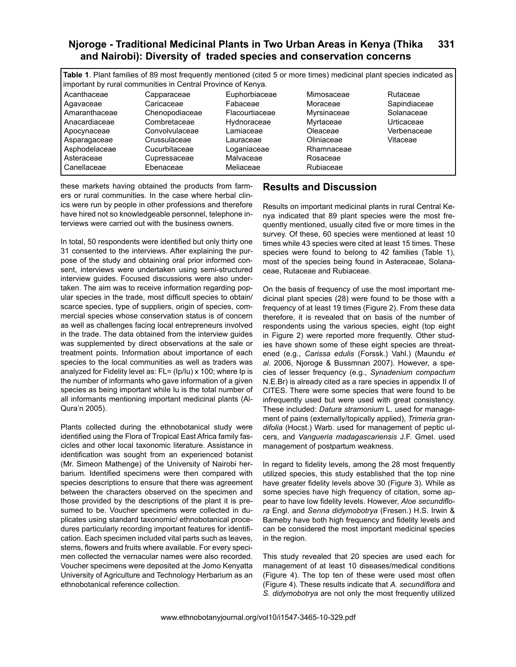**Table 1**. Plant families of 89 most frequently mentioned (cited 5 or more times) medicinal plant species indicated as important by rural communities in Central Province of Kenya.

| Acanthaceae   | Capparaceae    |
|---------------|----------------|
| Agavaceae     | Caricaceae     |
| Amaranthaceae | Chenopodiaceae |
| Anacardiaceae | Combretaceae   |
| Apocynaceae   | Convolvulaceae |
| Asparagaceae  | Crussulaceae   |
| Asphodelaceae | Cucurbitaceae  |
| Asteraceae    | Cupressaceae   |
| Canellaceae   | Ebenaceae      |

Euphorbiaceae Fabaceae Flacourtiaceae Hydnoraceae Lamiaceae Lauraceae Loganiaceae Malvaceae Meliaceae

Mimosaceae Moraceae Myrsinaceae Myrtaceae Oleaceae **Oliniaceae** Rhamnaceae Rosaceae Rubiaceae

Rutaceae Sapindiaceae Solanaceae **Urticaceae** Verbenaceae Vitaceae

these markets having obtained the products from farmers or rural communities. In the case where herbal clinics were run by people in other professions and therefore have hired not so knowledgeable personnel, telephone interviews were carried out with the business owners.

In total, 50 respondents were identified but only thirty one 31 consented to the interviews. After explaining the purpose of the study and obtaining oral prior informed consent, interviews were undertaken using semi-structured interview guides. Focused discussions were also undertaken. The aim was to receive information regarding popular species in the trade, most difficult species to obtain/ scarce species, type of suppliers, origin of species, commercial species whose conservation status is of concern as well as challenges facing local entrepreneurs involved in the trade. The data obtained from the interview guides was supplemented by direct observations at the sale or treatment points. Information about importance of each species to the local communities as well as traders was analyzed for Fidelity level as: FL= (Ip/Iu) x 100; where Ip is the number of informants who gave information of a given species as being important while Iu is the total number of all informants mentioning important medicinal plants (Al-Qura'n 2005).

Plants collected during the ethnobotanical study were identified using the Flora of Tropical East Africa family fascicles and other local taxonomic literature. Assistance in identification was sought from an experienced botanist (Mr. Simeon Mathenge) of the University of Nairobi herbarium. Identified specimens were then compared with species descriptions to ensure that there was agreement between the characters observed on the specimen and those provided by the descriptions of the plant it is presumed to be. Voucher specimens were collected in duplicates using standard taxonomic/ ethnobotanical procedures particularly recording important features for identification. Each specimen included vital parts such as leaves, stems, flowers and fruits where available. For every specimen collected the vernacular names were also recorded. Voucher specimens were deposited at the Jomo Kenyatta University of Agriculture and Technology Herbarium as an ethnobotanical reference collection.

# **Results and Discussion**

Results on important medicinal plants in rural Central Kenya indicated that 89 plant species were the most frequently mentioned, usually cited five or more times in the survey. Of these, 60 species were mentioned at least 10 times while 43 species were cited at least 15 times. These species were found to belong to 42 families (Table 1), most of the species being found in Asteraceae, Solanaceae, Rutaceae and Rubiaceae.

On the basis of frequency of use the most important medicinal plant species (28) were found to be those with a frequency of at least 19 times (Figure 2). From these data therefore, it is revealed that on basis of the number of respondents using the various species, eight (top eight in Figure 2) were reported more frequently. Other studies have shown some of these eight species are threatened (e.g., *Carissa edulis* (Forssk.) Vahl.) (Maundu *et al*. 2006, Njoroge & Bussmnan 2007). However, a species of lesser frequency (e.g., *Synadenium compactum* N.E.Br) is already cited as a rare species in appendix II of CITES. There were some species that were found to be infrequently used but were used with great consistency. These included: *Datura stramonium* L. used for management of pains (externally/topically applied), *Trimeria grandifolia* (Hocst.) Warb. used for management of peptic ulcers, and *Vangueria madagascariensis* J.F. Gmel. used management of postpartum weakness.

In regard to fidelity levels, among the 28 most frequently utilized species, this study established that the top nine have greater fidelity levels above 30 (Figure 3). While as some species have high frequency of citation, some appear to have low fidelity levels. However, *Aloe secundiflora* Engl. and *Senna didymobotrya* (Fresen.) H.S. Irwin & Barneby have both high frequency and fidelity levels and can be considered the most important medicinal species in the region.

This study revealed that 20 species are used each for management of at least 10 diseases/medical conditions (Figure 4). The top ten of these were used most often (Figure 4). These results indicate that *A. secundiflora* and *S. didymobotrya* are not only the most frequently utilized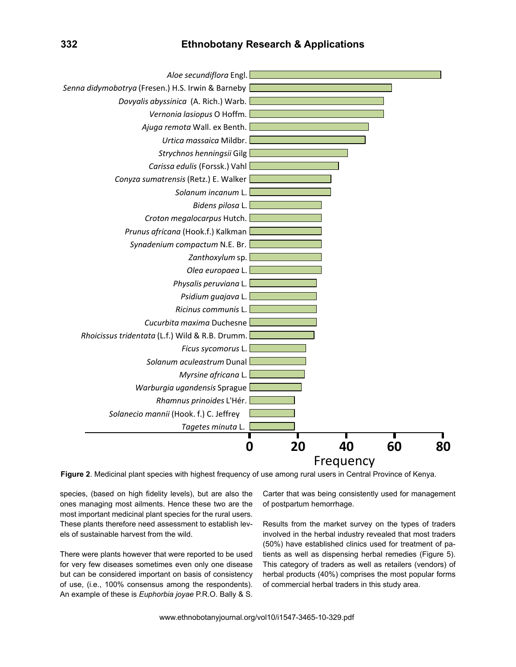#### **332 Ethnobotany Research & Applications**



**Figure 2**. Medicinal plant species with highest frequency of use among rural users in Central Province of Kenya.

species, (based on high fidelity levels), but are also the ones managing most ailments. Hence these two are the most important medicinal plant species for the rural users. These plants therefore need assessment to establish levels of sustainable harvest from the wild.

There were plants however that were reported to be used for very few diseases sometimes even only one disease but can be considered important on basis of consistency of use, (i.e., 100% consensus among the respondents). An example of these is *Euphorbia joyae* P.R.O. Bally & S.

Carter that was being consistently used for management of postpartum hemorrhage.

Results from the market survey on the types of traders involved in the herbal industry revealed that most traders (50%) have established clinics used for treatment of patients as well as dispensing herbal remedies (Figure 5). This category of traders as well as retailers (vendors) of herbal products (40%) comprises the most popular forms of commercial herbal traders in this study area.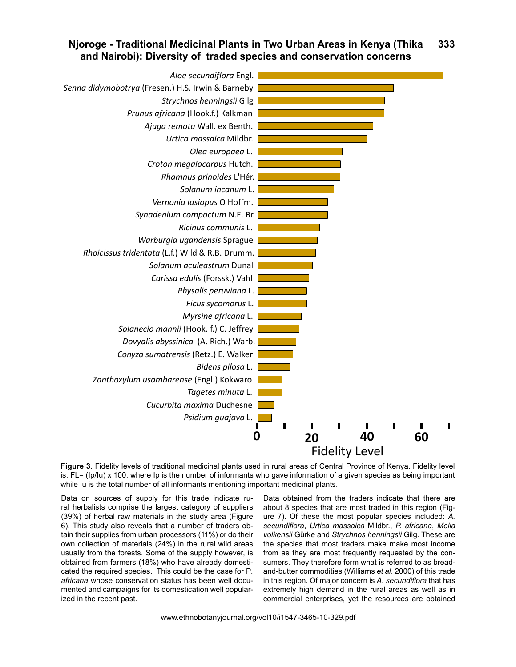

**Figure 3**. Fidelity levels of traditional medicinal plants used in rural areas of Central Province of Kenya. Fidelity level is: FL= (Ip/Iu) x 100; where Ip is the number of informants who gave information of a given species as being important while Iu is the total number of all informants mentioning important medicinal plants.

Data on sources of supply for this trade indicate rural herbalists comprise the largest category of suppliers (39%) of herbal raw materials in the study area (Figure 6). This study also reveals that a number of traders obtain their supplies from urban processors (11%) or do their own collection of materials (24%) in the rural wild areas usually from the forests. Some of the supply however, is obtained from farmers (18%) who have already domesticated the required species. This could be the case for P*. africana* whose conservation status has been well documented and campaigns for its domestication well popularized in the recent past.

Data obtained from the traders indicate that there are about 8 species that are most traded in this region (Figure 7). Of these the most popular species included: *A. secundiflora*, *Urtica massaica* Mildbr., *P. africana*, *Melia volkensii* Gürke and *Strychnos henningsii* Gilg. These are the species that most traders make make most income from as they are most frequently requested by the consumers. They therefore form what is referred to as breadand-butter commodities (Williams *et al*. 2000) of this trade in this region. Of major concern is *A. secundiflora* that has extremely high demand in the rural areas as well as in commercial enterprises, yet the resources are obtained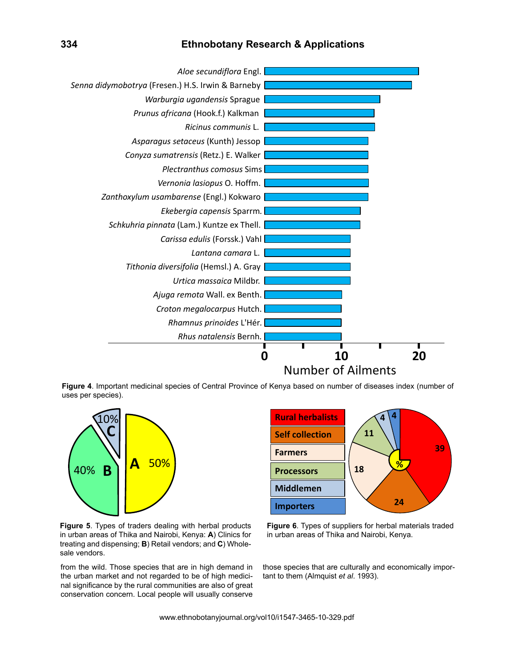#### **334 Ethnobotany Research & Applications**



**Figure 4**. Important medicinal species of Central Province of Kenya based on number of diseases index (number of uses per species).



**Importers Rural herbalists Middlemen Self collection Farmers Processors 11 4 % 4 18 39 24**

**Figure 5**. Types of traders dealing with herbal products in urban areas of Thika and Nairobi, Kenya: **A**) Clinics for treating and dispensing; **B**) Retail vendors; and **C**) Wholesale vendors.

from the wild. Those species that are in high demand in the urban market and not regarded to be of high medicinal significance by the rural communities are also of great conservation concern. Local people will usually conserve

**Figure 6**. Types of suppliers for herbal materials traded in urban areas of Thika and Nairobi, Kenya.

those species that are culturally and economically impor-<br>tast to those (Almaniet at al. 1999) tant to them (Almquist *et al*. 1993).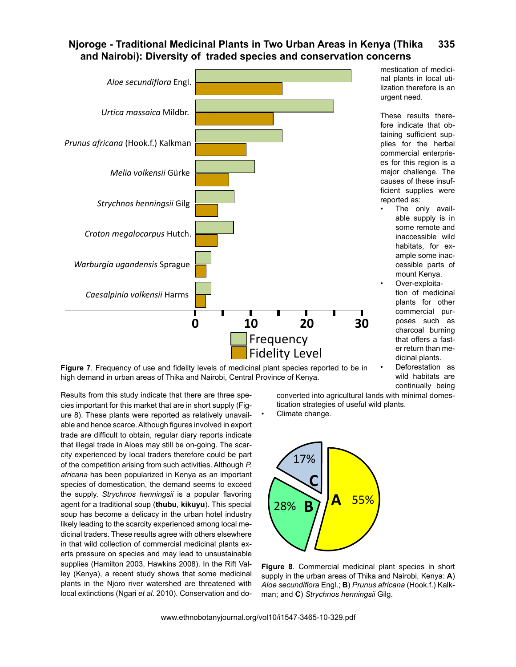

**Figure 7**. Frequency of use and fidelity levels of medicinal plant species reported to be in high demand in urban areas of Thika and Nairobi, Central Province of Kenya.

U<br>Results from this study indicate that there are three species important for this market that are in short supply (Figure 8). These plants were reported as relatively unavailable and hence scarce. Although figures involved in export trade are difficult to obtain, regular diary reports indicate that illegal trade in Aloes may still be on-going. The scarcity experienced by local traders therefore could be part of the competition arising from such activities. Although *P. africana* has been popularized in Kenya as an important species of domestication, the demand seems to exceed the supply. *Strychnos henningsii* is a popular flavoring agent for a traditional soup (**thubu**, **kikuyu**). This special soup has become a delicacy in the urban hotel industry likely leading to the scarcity experienced among local medicinal traders. These results agree with others elsewhere in that wild collection of commercial medicinal plants exerts pressure on species and may lead to unsustainable supplies (Hamilton 2003, Hawkins 2008). In the Rift Valley (Kenya), a recent study shows that some medicinal plants in the Njoro river watershed are threatened with local extinctions (Ngari *et al*. 2010). Conservation and domestication of medicinal plants in local utilization therefore is an urgent need.

These results therefore indicate that obtaining sufficient supplies for the herbal commercial enterprises for this region is a major challenge. The causes of these insufficient supplies were reported as:

- The only available supply is in some remote and inaccessible wild habitats, for example some inaccessible parts of mount Kenya.
- Over-exploitation of medicinal plants for other commercial purposes such as charcoal burning that offers a faster return than medicinal plants.
- Deforestation as wild habitats are continually being

converted into agricultural lands with minimal domestication strategies of useful wild plants. Climate change.



**Figure 8**. Commercial medicinal plant species in short supply in the urban areas of Thika and Nairobi, Kenya: **A**) *Aloe secundiflora* Engl.; **B**) *Prunus africana* (Hook.f.) Kalkman; and **C**) *Strychnos henningsii* Gilg.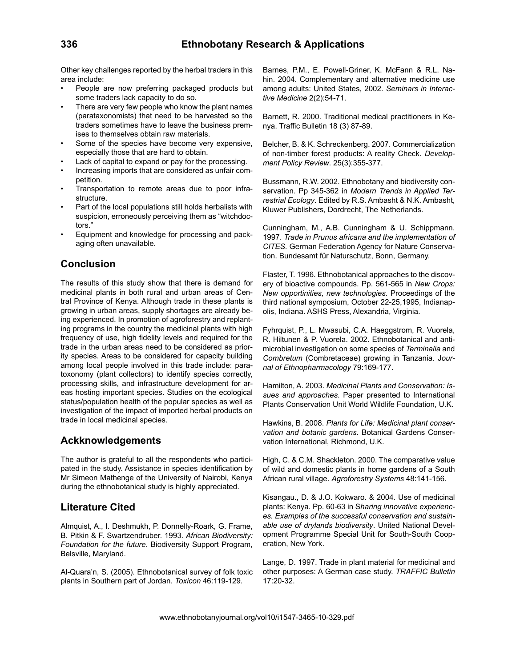Other key challenges reported by the herbal traders in this area include:

- People are now preferring packaged products but some traders lack capacity to do so.
- There are very few people who know the plant names (parataxonomists) that need to be harvested so the traders sometimes have to leave the business premises to themselves obtain raw materials.
- Some of the species have become very expensive, especially those that are hard to obtain.
- Lack of capital to expand or pay for the processing.
- Increasing imports that are considered as unfair competition.
- Transportation to remote areas due to poor infrastructure.
- Part of the local populations still holds herbalists with suspicion, erroneously perceiving them as "witchdoctors."
- Equipment and knowledge for processing and packaging often unavailable.

# **Conclusion**

The results of this study show that there is demand for medicinal plants in both rural and urban areas of Central Province of Kenya. Although trade in these plants is growing in urban areas, supply shortages are already being experienced. In promotion of agroforestry and replanting programs in the country the medicinal plants with high frequency of use, high fidelity levels and required for the trade in the urban areas need to be considered as priority species. Areas to be considered for capacity building among local people involved in this trade include: paratoxonomy (plant collectors) to identify species correctly, processing skills, and infrastructure development for areas hosting important species. Studies on the ecological status/population health of the popular species as well as investigation of the impact of imported herbal products on trade in local medicinal species.

## **Ackknowledgements**

The author is grateful to all the respondents who participated in the study. Assistance in species identification by Mr Simeon Mathenge of the University of Nairobi, Kenya during the ethnobotanical study is highly appreciated.

## **Literature Cited**

Almquist, A., I. Deshmukh, P. Donnelly-Roark, G. Frame, B. Pitkin & F. Swartzendruber. 1993. *African Biodiversity: Foundation for the future*. Biodiversity Support Program, Belsville, Maryland.

Al-Quara'n, S. (2005). Ethnobotanical survey of folk toxic plants in Southern part of Jordan. *Toxicon* 46:119-129.

Barnes, P.M., E. Powell-Griner, K. McFann & R.L. Nahin. 2004. Complementary and alternative medicine use among adults: United States, 2002. *Seminars in Interactive Medicine* 2(2):54-71.

Barnett, R. 2000. Traditional medical practitioners in Kenya. Traffic Bulletin 18 (3) 87-89.

Belcher, B. & K. Schreckenberg. 2007. Commercialization of non-timber forest products: A reality Check. *Development Policy Review*. 25(3):355-377.

Bussmann, R.W. 2002. Ethnobotany and biodiversity conservation. Pp 345-362 in *Modern Trends in Applied Terrestrial Ecology*. Edited by R.S. Ambasht & N.K. Ambasht, Kluwer Publishers, Dordrecht, The Netherlands.

Cunningham, M., A.B. Cunningham & U. Schippmann. 1997. *Trade in Prunus africana and the implementation of CITES.* German Federation Agency for Nature Conservation. Bundesamt für Naturschutz, Bonn, Germany.

Flaster, T. 1996. Ethnobotanical approaches to the discovery of bioactive compounds. Pp. 561-565 in *New Crops: New opportinities, new technologies*. Proceedings of the third national symposium, October 22-25,1995, Indianapolis, Indiana. ASHS Press, Alexandria, Virginia.

Fyhrquist, P., L. Mwasubi, C.A. Haeggstrom, R. Vuorela, R. Hiltunen & P. Vuorela. 2002. Ethnobotanical and antimicrobial investigation on some species of *Terminalia* and *Combretum* (Combretaceae) growing in Tanzania. J*ournal of Ethnopharmacology* 79:169-177.

Hamilton, A. 2003. *Medicinal Plants and Conservation: Issues and approaches*. Paper presented to International Plants Conservation Unit World Wildlife Foundation, U.K.

Hawkins, B. 2008. *Plants for Life: Medicinal plant conservation and botanic gardens*. Botanical Gardens Conservation International, Richmond, U.K.

High, C. & C.M. Shackleton. 2000. The comparative value of wild and domestic plants in home gardens of a South African rural village. *Agroforestry Systems* 48:141-156.

Kisangau., D. & J.O. Kokwaro. & 2004. Use of medicinal plants: Kenya. Pp. 60-63 in S*haring innovative experiences. Examples of the successful conservation and sustainable use of drylands biodiversity*. United National Development Programme Special Unit for South-South Cooperation, New York.

Lange, D. 1997. Trade in plant material for medicinal and other purposes: A German case study. *TRAFFIC Bulletin*  17:20-32.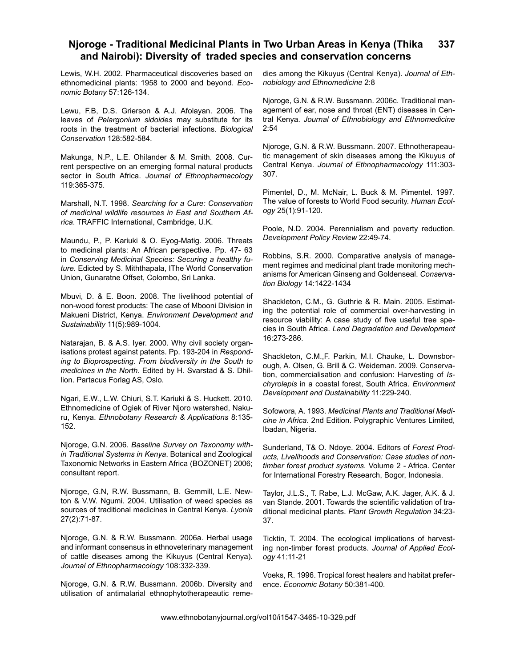Lewis, W.H. 2002. Pharmaceutical discoveries based on ethnomedicinal plants: 1958 to 2000 and beyond. *Economic Botany* 57:126-134.

Lewu, F.B, D.S. Grierson & A.J. Afolayan. 2006. The leaves of *Pelargonium sidoides* may substitute for its roots in the treatment of bacterial infections. *Biological Conservation* 128:582-584.

Makunga, N.P., L.E. Ohilander & M. Smith. 2008. Current perspective on an emerging formal natural products sector in South Africa. *Journal of Ethnopharmacology*  119:365-375.

Marshall, N.T. 1998. *Searching for a Cure: Conservation of medicinal wildlife resources in East and Southern Africa*. TRAFFIC International, Cambridge, U.K.

Maundu, P., P. Kariuki & O. Eyog-Matig. 2006. Threats to medicinal plants: An African perspective. Pp. 47- 63 in *Conserving Medicinal Species: Securing a healthy future*. Edicted by S. Miththapala, IThe World Conservation Union, Gunaratne Offset, Colombo, Sri Lanka.

Mbuvi, D. & E. Boon. 2008. The livelihood potential of non-wood forest products: The case of Mbooni Division in Makueni District, Kenya. *Environment Development and Sustainability* 11(5):989-1004.

Natarajan, B. & A.S. Iyer. 2000. Why civil society organisations protest against patents. Pp. 193-204 in *Responding to Bioprospecting. From biodiversity in the South to medicines in the North*. Edited by H. Svarstad & S. Dhillion. Partacus Forlag AS, Oslo.

Ngari, E.W., L.W. Chiuri, S.T. Kariuki & S. Huckett. 2010. Ethnomedicine of Ogiek of River Njoro watershed, Nakuru, Kenya. *Ethnobotany Research & Applications* 8:135- 152.

Njoroge, G.N. 2006. *Baseline Survey on Taxonomy within Traditional Systems in Kenya*. Botanical and Zoological Taxonomic Networks in Eastern Africa (BOZONET) 2006; consultant report.

Njoroge, G.N, R.W. Bussmann, B. Gemmill, L.E. Newton & V.W. Ngumi. 2004. Utilisation of weed species as sources of traditional medicines in Central Kenya. *Lyonia* 27(2):71-87.

Njoroge, G.N. & R.W. Bussmann. 2006a. Herbal usage and informant consensus in ethnoveterinary management of cattle diseases among the Kikuyus (Central Kenya). *Journal of Ethnopharmacology* 108:332-339.

Njoroge, G.N. & R.W. Bussmann. 2006b. Diversity and utilisation of antimalarial ethnophytotherapeautic remedies among the Kikuyus (Central Kenya). *Journal of Ethnobiology and Ethnomedicine* 2:8

Njoroge, G.N. & R.W. Bussmann. 2006c. Traditional management of ear, nose and throat (ENT) diseases in Central Kenya. *Journal of Ethnobiology and Ethnomedicine*  2:54

Njoroge, G.N. & R.W. Bussmann. 2007. Ethnotherapeautic management of skin diseases among the Kikuyus of Central Kenya. *Journal of Ethnopharmacology* 111:303- 307.

Pimentel, D., M. McNair, L. Buck & M. Pimentel. 1997. The value of forests to World Food security. *Human Ecology* 25(1):91-120.

Poole, N.D. 2004. Perennialism and poverty reduction. *Development Policy Review* 22:49-74.

Robbins, S.R. 2000. Comparative analysis of management regimes and medicinal plant trade monitoring mechanisms for American Ginseng and Goldenseal. *Conservation Biology* 14:1422-1434

Shackleton, C.M., G. Guthrie & R. Main. 2005. Estimating the potential role of commercial over-harvesting in resource viability: A case study of five useful tree species in South Africa. *Land Degradation and Development* 16:273-286.

Shackleton, C.M.,F. Parkin, M.I. Chauke, L. Downsborough, A. Olsen, G. Brill & C. Weideman. 2009. Conservation, commercialisation and confusion: Harvesting of *Ischyrolepis* in a coastal forest, South Africa. *Environment Development and Dustainability* 11:229-240.

Sofowora, A. 1993. *Medicinal Plants and Traditional Medicine in Africa*. 2nd Edition. Polygraphic Ventures Limited, Ibadan, Nigeria.

Sunderland, T& O. Ndoye. 2004. Editors of *Forest Products, Livelihoods and Conservation: Case studies of nontimber forest product systems*. Volume 2 - Africa. Center for International Forestry Research, Bogor, Indonesia.

Taylor, J.L.S., T. Rabe, L.J. McGaw, A.K. Jager, A.K. & J. van Stande. 2001. Towards the scientific validation of traditional medicinal plants. *Plant Growth Regulation* 34:23- 37.

Ticktin, T. 2004. The ecological implications of harvesting non-timber forest products. *Journal of Applied Ecology* 41:11-21

Voeks, R. 1996. Tropical forest healers and habitat preference. *Economic Botany* 50:381-400.